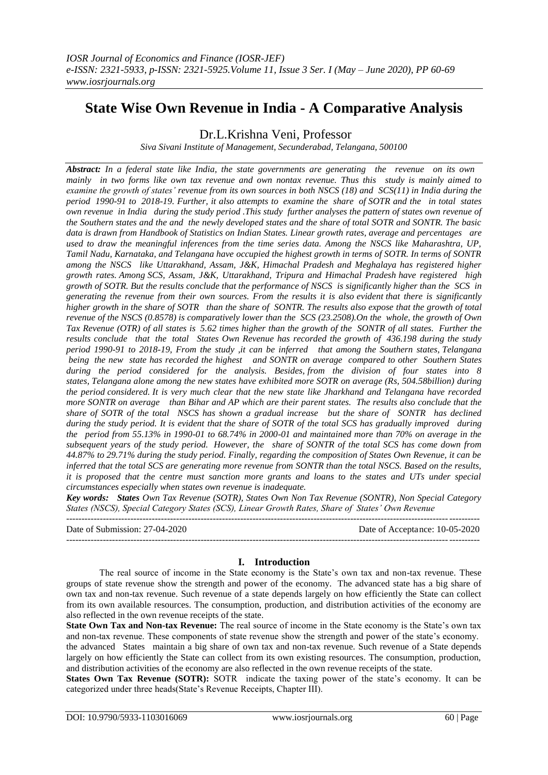# **State Wise Own Revenue in India - A Comparative Analysis**

Dr.L.Krishna Veni, Professor

*Siva Sivani Institute of Management, Secunderabad, Telangana, 500100*

*Abstract: In a federal state like India, the state governments are generating the revenue on its own mainly in two forms like own tax revenue and own nontax revenue. Thus this study is mainly aimed to examine the growth of states' revenue from its own sources in both NSCS (18) and SCS(11) in India during the period 1990-91 to 2018-19. Further, it also attempts to examine the share of SOTR and the in total states own revenue in India during the study period .This study further analyses the pattern of states own revenue of the Southern states and the and the newly developed states and the share of total SOTR and SONTR. The basic data is drawn from Handbook of Statistics on Indian States. Linear growth rates, average and percentages are used to draw the meaningful inferences from the time series data. Among the NSCS like Maharashtra, UP, Tamil Nadu, Karnataka, and Telangana have occupied the highest growth in terms of SOTR. In terms of SONTR among the NSCS like Uttarakhand, Assam, J&K, Himachal Pradesh and Meghalaya has registered higher growth rates. Among SCS, Assam, J&K, Uttarakhand, Tripura and Himachal Pradesh have registered high growth of SOTR. But the results conclude that the performance of NSCS is significantly higher than the SCS in generating the revenue from their own sources. From the results it is also evident that there is significantly higher growth in the share of SOTR than the share of SONTR. The results also expose that the growth of total revenue of the NSCS (0.8578) is comparatively lower than the SCS (23.2508).On the whole, the growth of Own Tax Revenue (OTR) of all states is 5.62 times higher than the growth of the SONTR of all states. Further the results conclude that the total States Own Revenue has recorded the growth of 436.198 during the study period 1990-91 to 2018-19, From the study ,it can be inferred that among the Southern states, Telangana being the new state has recorded the highest and SONTR on average compared to other Southern States during the period considered for the analysis. Besides, from the division of four states into 8 states, Telangana alone among the new states have exhibited more SOTR on average (Rs, 504.58billion) during the period considered. It is very much clear that the new state like Jharkhand and Telangana have recorded more SONTR on average than Bihar and AP which are their parent states. The results also conclude that the share of SOTR of the total NSCS has shown a gradual increase but the share of SONTR has declined during the study period. It is evident that the share of SOTR of the total SCS has gradually improved during the period from 55.13% in 1990-01 to 68.74% in 2000-01 and maintained more than 70% on average in the subsequent years of the study period. However, the share of SONTR of the total SCS has come down from 44.87% to 29.71% during the study period. Finally, regarding the composition of States Own Revenue, it can be inferred that the total SCS are generating more revenue from SONTR than the total NSCS. Based on the results, it is proposed that the centre must sanction more grants and loans to the states and UTs under special circumstances especially when states own revenue is inadequate.*

*Key words: States Own Tax Revenue (SOTR), States Own Non Tax Revenue (SONTR), Non Special Category States (NSCS), Special Category States (SCS), Linear Growth Rates, Share of States' Own Revenue*

--------------------------------------------------------------------------------------------------------------------------------------- Date of Submission: 27-04-2020 Date of Acceptance: 10-05-2020 ---------------------------------------------------------------------------------------------------------------------------------------

# **I. Introduction**

The real source of income in the State economy is the State's own tax and non-tax revenue. These groups of state revenue show the strength and power of the economy. The advanced state has a big share of own tax and non-tax revenue. Such revenue of a state depends largely on how efficiently the State can collect from its own available resources. The consumption, production, and distribution activities of the economy are also reflected in the own revenue receipts of the state.

**State Own Tax and Non-tax Revenue:** The real source of income in the State economy is the State's own tax and non-tax revenue. These components of state revenue show the strength and power of the state's economy.

the advanced States maintain a big share of own tax and non-tax revenue. Such revenue of a State depends largely on how efficiently the State can collect from its own existing resources. The consumption, production, and distribution activities of the economy are also reflected in the own revenue receipts of the state.

**States Own Tax Revenue (SOTR):** SOTR indicate the taxing power of the state's economy. It can be categorized under three heads(State's Revenue Receipts, Chapter III).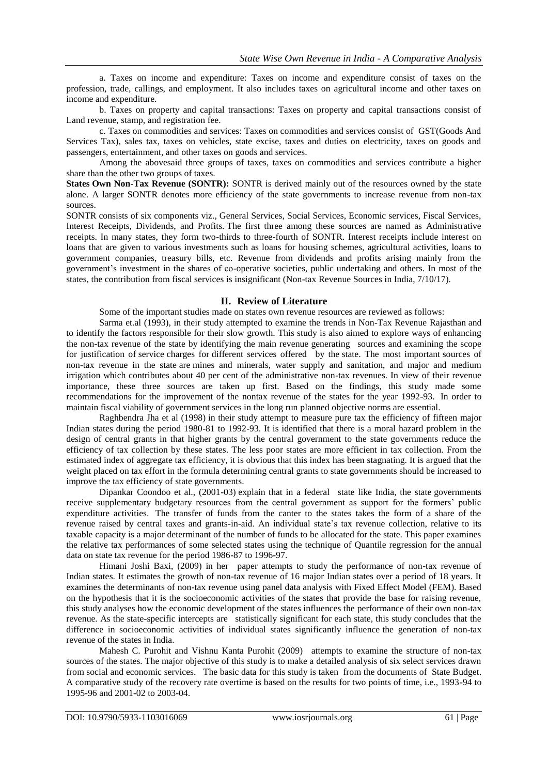a. Taxes on income and expenditure: Taxes on income and expenditure consist of taxes on the profession, trade, callings, and employment. It also includes taxes on agricultural income and other taxes on income and expenditure.

b. Taxes on property and capital transactions: Taxes on property and capital transactions consist of Land revenue, stamp, and registration fee.

c. Taxes on commodities and services: Taxes on commodities and services consist of GST(Goods And Services Tax), sales tax, taxes on vehicles, state excise, taxes and duties on electricity, taxes on goods and passengers, entertainment, and other taxes on goods and services.

Among the abovesaid three groups of taxes, taxes on commodities and services contribute a higher share than the other two groups of taxes.

**States Own Non-Tax Revenue (SONTR):** SONTR is derived mainly out of the resources owned by the state alone. A larger SONTR denotes more efficiency of the state governments to increase revenue from non-tax sources.

SONTR consists of six components viz., General Services, Social Services, Economic services, Fiscal Services, Interest Receipts, Dividends, and Profits. The first three among these sources are named as Administrative receipts. In many states, they form two-thirds to three-fourth of SONTR. Interest receipts include interest on loans that are given to various investments such as loans for housing schemes, agricultural activities, loans to government companies, treasury bills, etc. Revenue from dividends and profits arising mainly from the government's investment in the shares of co-operative societies, public undertaking and others. In most of the states, the contribution from fiscal services is insignificant (Non-tax Revenue Sources in India, 7/10/17).

#### **II. Review of Literature**

Some of the important studies made on states own revenue resources are reviewed as follows:

Sarma et.al (1993), in their study attempted to examine the trends in Non-Tax Revenue Rajasthan and to identify the factors responsible for their slow growth. This study is also aimed to explore ways of enhancing the non-tax revenue of the state by identifying the main revenue generating sources and examining the scope for justification of service charges for different services offered by the state. The most important sources of non-tax revenue in the state are mines and minerals, water supply and sanitation, and major and medium irrigation which contributes about 40 per cent of the administrative non-tax revenues. In view of their revenue importance, these three sources are taken up first. Based on the findings, this study made some recommendations for the improvement of the nontax revenue of the states for the year 1992-93. In order to maintain fiscal viability of government services in the long run planned objective norms are essential.

Raghbendra Jha et al (1998) in their study attempt to measure pure tax the efficiency of fifteen major Indian states during the period 1980-81 to 1992-93. It is identified that there is a moral hazard problem in the design of central grants in that higher grants by the central government to the state governments reduce the efficiency of tax collection by these states. The less poor states are more efficient in tax collection. From the estimated index of aggregate tax efficiency, it is obvious that this index has been stagnating. It is argued that the weight placed on tax effort in the formula determining central grants to state governments should be increased to improve the tax efficiency of state governments.

Dipankar Coondoo et al., (2001-03) explain that in a federal state like India, the state governments receive supplementary budgetary resources from the central government as support for the formers' public expenditure activities. The transfer of funds from the canter to the states takes the form of a share of the revenue raised by central taxes and grants-in-aid. An individual state's tax revenue collection, relative to its taxable capacity is a major determinant of the number of funds to be allocated for the state. This paper examines the relative tax performances of some selected states using the technique of Quantile regression for the annual data on state tax revenue for the period 1986-87 to 1996-97.

Himani Joshi Baxi, (2009) in her paper attempts to study the performance of non-tax revenue of Indian states. It estimates the growth of non-tax revenue of 16 major Indian states over a period of 18 years. It examines the determinants of non-tax revenue using panel data analysis with Fixed Effect Model (FEM). Based on the hypothesis that it is the socioeconomic activities of the states that provide the base for raising revenue, this study analyses how the economic development of the states influences the performance of their own non-tax revenue. As the state-specific intercepts are statistically significant for each state, this study concludes that the difference in socioeconomic activities of individual states significantly influence the generation of non-tax revenue of the states in India.

Mahesh C. Purohit and Vishnu Kanta Purohit (2009) attempts to examine the structure of non-tax sources of the states. The major objective of this study is to make a detailed analysis of six select services drawn from social and economic services. The basic data for this study is taken from the documents of State Budget. A comparative study of the recovery rate overtime is based on the results for two points of time, i.e., 1993-94 to 1995-96 and 2001-02 to 2003-04.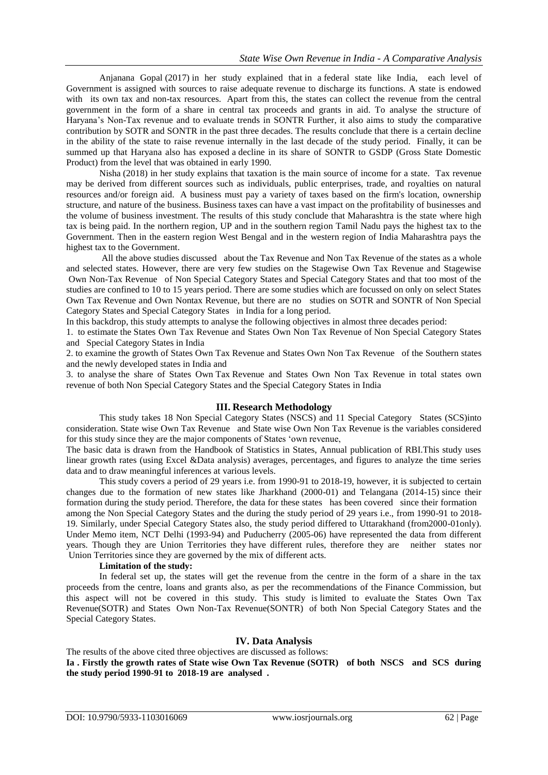Anjanana Gopal (2017) in her study explained that in a federal state like India, each level of Government is assigned with sources to raise adequate revenue to discharge its functions. A state is endowed with its own tax and non-tax resources. Apart from this, the states can collect the revenue from the central government in the form of a share in central tax proceeds and grants in aid. To analyse the structure of Haryana's Non-Tax revenue and to evaluate trends in SONTR Further, it also aims to study the comparative contribution by SOTR and SONTR in the past three decades. The results conclude that there is a certain decline in the ability of the state to raise revenue internally in the last decade of the study period. Finally, it can be summed up that Haryana also has exposed a decline in its share of SONTR to GSDP (Gross State Domestic Product) from the level that was obtained in early 1990.

Nisha (2018) in her study explains that taxation is the main source of income for a state. Tax revenue may be derived from different sources such as individuals, public enterprises, trade, and royalties on natural resources and/or foreign aid. A business must pay a variety of taxes based on the firm's location, ownership structure, and nature of the business. Business taxes can have a vast impact on the profitability of businesses and the volume of business investment. The results of this study conclude that Maharashtra is the state where high tax is being paid. In the northern region, UP and in the southern region Tamil Nadu pays the highest tax to the Government. Then in the eastern region West Bengal and in the western region of India Maharashtra pays the highest tax to the Government.

All the above studies discussed about the Tax Revenue and Non Tax Revenue of the states as a whole and selected states. However, there are very few studies on the Stagewise Own Tax Revenue and Stagewise Own Non-Tax Revenue of Non Special Category States and Special Category States and that too most of the studies are confined to 10 to 15 years period. There are some studies which are focussed on only on select States Own Tax Revenue and Own Nontax Revenue, but there are no studies on SOTR and SONTR of Non Special Category States and Special Category States in India for a long period.

In this backdrop, this study attempts to analyse the following objectives in almost three decades period:

1. to estimate the States Own Tax Revenue and States Own Non Tax Revenue of Non Special Category States and Special Category States in India

2. to examine the growth of States Own Tax Revenue and States Own Non Tax Revenue of the Southern states and the newly developed states in India and

3. to analyse the share of States Own Tax Revenue and States Own Non Tax Revenue in total states own revenue of both Non Special Category States and the Special Category States in India

#### **III. Research Methodology**

This study takes 18 Non Special Category States (NSCS) and 11 Special Category States (SCS)into consideration. State wise Own Tax Revenue and State wise Own Non Tax Revenue is the variables considered for this study since they are the major components of States 'own revenue,

The basic data is drawn from the Handbook of Statistics in States, Annual publication of RBI.This study uses linear growth rates (using Excel &Data analysis) averages, percentages, and figures to analyze the time series data and to draw meaningful inferences at various levels.

This study covers a period of 29 years i.e. from 1990-91 to 2018-19, however, it is subjected to certain changes due to the formation of new states like Jharkhand (2000-01) and Telangana (2014-15) since their formation during the study period. Therefore, the data for these states has been covered since their formation among the Non Special Category States and the during the study period of 29 years i.e., from 1990-91 to 2018- 19. Similarly, under Special Category States also, the study period differed to Uttarakhand (from2000-01only). Under Memo item, NCT Delhi (1993-94) and Puducherry (2005-06) have represented the data from different years. Though they are Union Territories they have different rules, therefore they are neitherstates nor Union Territories since they are governed by the mix of different acts.

#### **Limitation of the study:**

In federal set up, the states will get the revenue from the centre in the form of a share in the tax proceeds from the centre, loans and grants also, as per the recommendations of the Finance Commission, but this aspect will not be covered in this study. This study is limited to evaluate the States Own Tax Revenue(SOTR) and States Own Non-Tax Revenue(SONTR) of both Non Special Category States and the Special Category States.

### **IV. Data Analysis**

The results of the above cited three objectives are discussed as follows: **Ia . Firstly the growth rates of State wise Own Tax Revenue (SOTR) of both NSCS and SCS during the study period 1990-91 to 2018-19 are analysed .**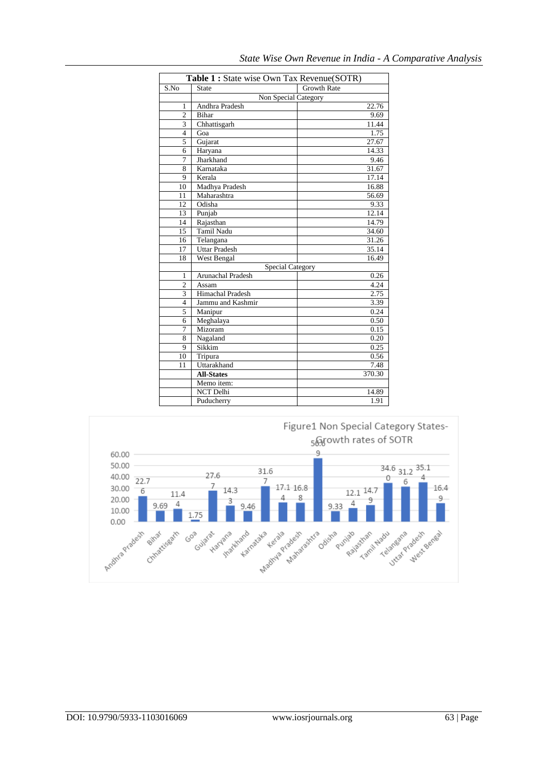| Table 1 : State wise Own Tax Revenue(SOTR) |                         |                    |  |  |  |  |
|--------------------------------------------|-------------------------|--------------------|--|--|--|--|
| S.No                                       | State                   | <b>Growth Rate</b> |  |  |  |  |
|                                            | Non Special Category    |                    |  |  |  |  |
| 1                                          | Andhra Pradesh          | 22.76              |  |  |  |  |
| $\overline{c}$                             | <b>Bihar</b>            | 9.69               |  |  |  |  |
| 3                                          | Chhattisgarh            | 11.44              |  |  |  |  |
| $\overline{4}$                             | Goa                     | 1.75               |  |  |  |  |
| 5                                          | Gujarat                 | 27.67              |  |  |  |  |
| 6                                          | Haryana                 | 14.33              |  |  |  |  |
| 7                                          | Jharkhand               |                    |  |  |  |  |
| 8                                          | Karnataka               | 31.67              |  |  |  |  |
| 9                                          | Kerala                  | 17.14              |  |  |  |  |
| 10                                         | Madhya Pradesh          | 16.88              |  |  |  |  |
| 11                                         | Maharashtra             | 56.69              |  |  |  |  |
| 12                                         | Odisha                  | 9.33               |  |  |  |  |
| 13                                         | Punjab                  | 12.14              |  |  |  |  |
| 14                                         | Rajasthan               | 14.79              |  |  |  |  |
| 15                                         | Tamil Nadu              | 34.60              |  |  |  |  |
| 16                                         | Telangana               | 31.26              |  |  |  |  |
| 17                                         | <b>Uttar Pradesh</b>    | 35.14              |  |  |  |  |
| 18                                         | West Bengal             | 16.49              |  |  |  |  |
|                                            | <b>Special Category</b> |                    |  |  |  |  |
| 1                                          | Arunachal Pradesh       | 0.26               |  |  |  |  |
| $\overline{c}$                             | Assam                   | 4.24               |  |  |  |  |
| 3                                          | Himachal Pradesh        | 2.75               |  |  |  |  |
| 4                                          | Jammu and Kashmir       | 3.39               |  |  |  |  |
| 5                                          | Manipur                 | 0.24               |  |  |  |  |
| 6                                          | Meghalaya               | 0.50               |  |  |  |  |
| 7                                          | Mizoram                 | 0.15               |  |  |  |  |
| 8                                          | Nagaland                | 0.20               |  |  |  |  |
| 9                                          | Sikkim                  | 0.25               |  |  |  |  |
| 10                                         | Tripura                 | 0.56               |  |  |  |  |
| 11                                         | Uttarakhand             | 7.48               |  |  |  |  |
|                                            | <b>All-States</b>       | 370.30             |  |  |  |  |
|                                            | Memo item:              |                    |  |  |  |  |
|                                            | NCT Delhi               | 14.89              |  |  |  |  |
|                                            | Puducherry              | 1.91               |  |  |  |  |

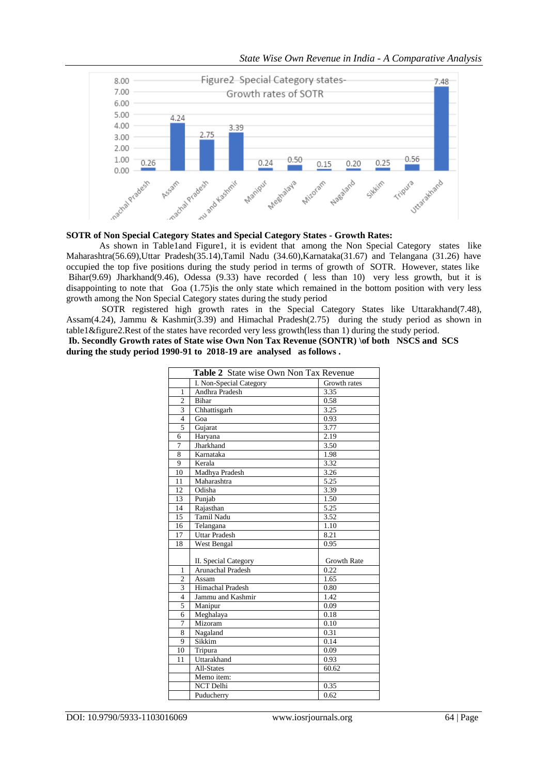

### **SOTR of Non Special Category States and Special Category States - Growth Rates:**

As shown in Table1and Figure1, it is evident that among the Non Special Category states like Maharashtra(56.69),Uttar Pradesh(35.14),Tamil Nadu (34.60),Karnataka(31.67) and Telangana (31.26) have occupied the top five positions during the study period in terms of growth of SOTR. However, states like Bihar(9.69) Jharkhand(9.46), Odessa (9.33) have recorded ( less than 10) very less growth, but it is disappointing to note that Goa (1.75)is the only state which remained in the bottom position with very less growth among the Non Special Category states during the study period

SOTR registered high growth rates in the Special Category States like Uttarakhand(7.48), Assam(4.24), Jammu & Kashmir(3.39) and Himachal Pradesh(2.75) during the study period as shown in table1&figure2.Rest of the states have recorded very less growth(less than 1) during the study period.

**Ib. Secondly Growth rates of State wise Own Non Tax Revenue (SONTR) \of both NSCS and SCS during the study period 1990-91 to 2018-19 are analysed as follows .** 

| Table 2 State wise Own Non Tax Revenue |                          |              |  |  |
|----------------------------------------|--------------------------|--------------|--|--|
|                                        | I. Non-Special Category  | Growth rates |  |  |
| $\mathbf{1}$                           | Andhra Pradesh           | 3.35         |  |  |
| $\overline{2}$                         | <b>Bihar</b>             | 0.58         |  |  |
| 3                                      | Chhattisgarh             | 3.25         |  |  |
| $\overline{\mathbf{4}}$                | Goa                      | 0.93         |  |  |
| 5                                      | Gujarat                  | 3.77         |  |  |
| 6                                      | Haryana                  | 2.19         |  |  |
| 7                                      | Jharkhand                | 3.50         |  |  |
| 8                                      | Karnataka                | 1.98         |  |  |
| 9                                      | Kerala                   | 3.32         |  |  |
| 10                                     | Madhya Pradesh           | 3.26         |  |  |
| 11                                     | Maharashtra              | 5.25         |  |  |
| 12                                     | Odisha                   | 3.39         |  |  |
| 13                                     | Punjab                   | 1.50         |  |  |
| 14                                     | Rajasthan                | 5.25         |  |  |
| 15                                     | <b>Tamil Nadu</b>        | 3.52         |  |  |
| 16                                     | Telangana                | 1.10         |  |  |
| 17                                     | <b>Uttar Pradesh</b>     | 8.21         |  |  |
| 18                                     | West Bengal              | 0.95         |  |  |
|                                        |                          |              |  |  |
|                                        | II. Special Category     | Growth Rate  |  |  |
| 1                                      | <b>Arunachal Pradesh</b> | 0.22         |  |  |
| $\overline{2}$                         | Assam                    | 1.65         |  |  |
| 3                                      | Himachal Pradesh         | 0.80         |  |  |
| 4                                      | Jammu and Kashmir        | 1.42         |  |  |
| 5                                      | Manipur                  | 0.09         |  |  |
| 6                                      | Meghalaya                | 0.18         |  |  |
| 7                                      | Mizoram                  | 0.10         |  |  |
| 8                                      | Nagaland                 | 0.31         |  |  |
| 9                                      | Sikkim                   | 0.14         |  |  |
| 10                                     | Tripura                  | 0.09         |  |  |
| 11                                     | Uttarakhand              | 0.93         |  |  |
|                                        | All-States               | 60.62        |  |  |
|                                        | Memo item:               |              |  |  |
|                                        | <b>NCT Delhi</b>         | 0.35         |  |  |
|                                        | Puducherry               | 0.62         |  |  |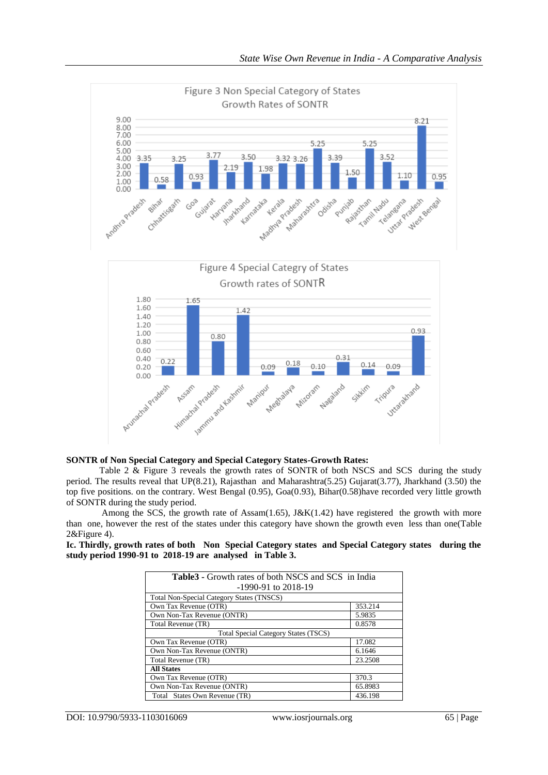

#### **SONTR of Non Special Category and Special Category States-Growth Rates:**

Table 2 & Figure 3 reveals the growth rates of SONTR of both NSCS and SCS during the study period. The results reveal that UP(8.21), Rajasthan and Maharashtra(5.25) Gujarat(3.77), Jharkhand (3.50) the top five positions. on the contrary. West Bengal (0.95), Goa(0.93), Bihar(0.58)have recorded very little growth of SONTR during the study period.

Among the SCS, the growth rate of Assam $(1.65)$ , J&K $(1.42)$  have registered the growth with more than one, however the rest of the states under this category have shown the growth even less than one(Table 2&Figure 4).

**Ic. Thirdly, growth rates of both Non Special Category states and Special Category states during the study period 1990-91 to 2018-19 are analysed in Table 3.**

| <b>Table3</b> - Growth rates of both NSCS and SCS in India<br>$-1990-91$ to 2018-19 |         |  |  |  |
|-------------------------------------------------------------------------------------|---------|--|--|--|
| <b>Total Non-Special Category States (TNSCS)</b>                                    |         |  |  |  |
| Own Tax Revenue (OTR)                                                               | 353.214 |  |  |  |
| Own Non-Tax Revenue (ONTR)                                                          | 5.9835  |  |  |  |
| Total Revenue (TR)                                                                  | 0.8578  |  |  |  |
| <b>Total Special Category States (TSCS)</b>                                         |         |  |  |  |
| Own Tax Revenue (OTR)                                                               | 17.082  |  |  |  |
| Own Non-Tax Revenue (ONTR)                                                          | 6.1646  |  |  |  |
| Total Revenue (TR)                                                                  | 23.2508 |  |  |  |
| <b>All States</b>                                                                   |         |  |  |  |
| Own Tax Revenue (OTR)                                                               | 370.3   |  |  |  |
| Own Non-Tax Revenue (ONTR)                                                          | 65.8983 |  |  |  |
| Total States Own Revenue (TR)                                                       | 436.198 |  |  |  |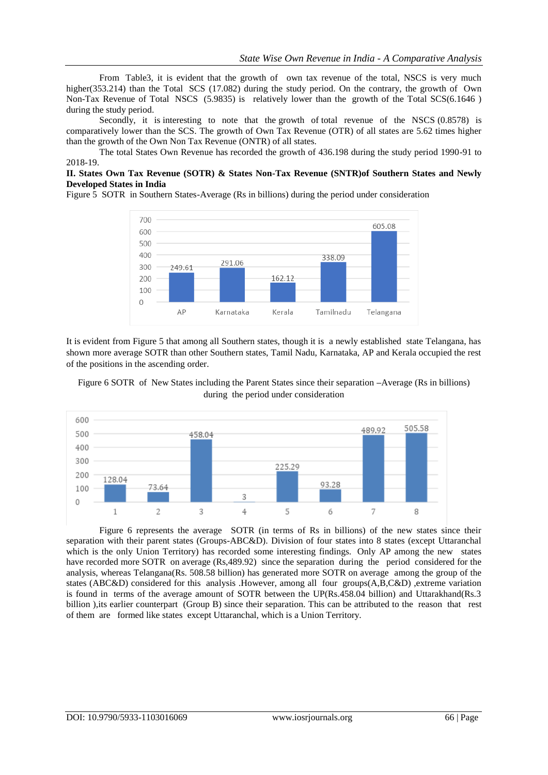From Table3, it is evident that the growth of own tax revenue of the total, NSCS is very much higher(353.214) than the Total SCS (17.082) during the study period. On the contrary, the growth of Own Non-Tax Revenue of Total NSCS (5.9835) is relatively lower than the growth of the Total SCS(6.1646 ) during the study period.

Secondly, it is interesting to note that the growth of total revenue of the NSCS (0.8578) is comparatively lower than the SCS. The growth of Own Tax Revenue (OTR) of all states are 5.62 times higher than the growth of the Own Non Tax Revenue (ONTR) of all states.

The total States Own Revenue has recorded the growth of 436.198 during the study period 1990-91 to 2018-19.

### **II. States Own Tax Revenue (SOTR) & States Non-Tax Revenue (SNTR)of Southern States and Newly Developed States in India**

Figure 5 SOTR in Southern States-Average (Rs in billions) during the period under consideration



It is evident from Figure 5 that among all Southern states, though it is a newly established state Telangana, has shown more average SOTR than other Southern states, Tamil Nadu, Karnataka, AP and Kerala occupied the rest of the positions in the ascending order.

Figure 6 SOTR of New States including the Parent States since their separation **–**Average (Rs in billions) during the period under consideration



Figure 6 represents the average SOTR (in terms of Rs in billions) of the new states since their separation with their parent states (Groups-ABC&D). Division of four states into 8 states (except Uttaranchal which is the only Union Territory) has recorded some interesting findings. Only AP among the new states have recorded more SOTR on average (Rs,489.92) since the separation during the period considered for the analysis, whereas Telangana(Rs. 508.58 billion) has generated more SOTR on average among the group of the states (ABC&D) considered for this analysis .However, among all four groups(A,B,C&D) ,extreme variation is found in terms of the average amount of SOTR between the UP(Rs.458.04 billion) and Uttarakhand(Rs.3 billion ),its earlier counterpart (Group B) since their separation. This can be attributed to the reason that rest of them are formed like states except Uttaranchal, which is a Union Territory.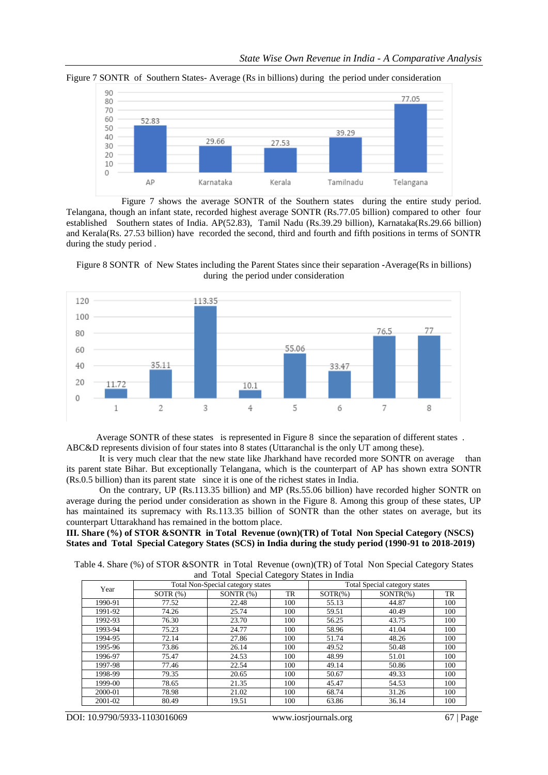

Figure 7 SONTR of Southern States- Average (Rs in billions) during the period under consideration

 Figure 7 shows the average SONTR of the Southern states during the entire study period. Telangana, though an infant state, recorded highest average SONTR (Rs.77.05 billion) compared to other four established Southern states of India. AP(52.83), Tamil Nadu (Rs.39.29 billion), Karnataka(Rs.29.66 billion) and Kerala(Rs. 27.53 billion) have recorded the second, third and fourth and fifth positions in terms of SONTR during the study period .

Figure 8 SONTR of New States including the Parent States since their separation **-**Average(Rs in billions) during the period under consideration



 Average SONTR of these states is represented in Figure 8 since the separation of different states . ABC&D represents division of four states into 8 states (Uttaranchal is the only UT among these).

It is very much clear that the new state like Jharkhand have recorded more SONTR on average than its parent state Bihar. But exceptionally Telangana, which is the counterpart of AP has shown extra SONTR (Rs.0.5 billion) than its parent state since it is one of the richest states in India.

On the contrary, UP (Rs.113.35 billion) and MP (Rs.55.06 billion) have recorded higher SONTR on average during the period under consideration as shown in the Figure 8. Among this group of these states, UP has maintained its supremacy with Rs.113.35 billion of SONTR than the other states on average, but its counterpart Uttarakhand has remained in the bottom place.

#### **III. Share (%) of STOR &SONTR in Total Revenue (own)(TR) of Total Non Special Category (NSCS) States and Total Special Category States (SCS) in India during the study period (1990-91 to 2018-2019)**

Table 4. Share (%) of STOR &SONTR in Total Revenue (own)(TR) of Total Non Special Category States and Total Special Category States in India

|         |                                   | $\frac{1}{2}$ and $\frac{1}{2}$ because $\frac{1}{2}$ because $\frac{1}{2}$ because $\frac{1}{2}$ |                               |             |             |     |
|---------|-----------------------------------|---------------------------------------------------------------------------------------------------|-------------------------------|-------------|-------------|-----|
| Year    | Total Non-Special category states |                                                                                                   | Total Special category states |             |             |     |
|         | SOTR $(\%)$                       | SONTR $(%)$                                                                                       | TR                            | $SOTR(\% )$ | $SONTR(\%)$ | TR  |
| 1990-91 | 77.52                             | 22.48                                                                                             | 100                           | 55.13       | 44.87       | 100 |
| 1991-92 | 74.26                             | 25.74                                                                                             | 100                           | 59.51       | 40.49       | 100 |
| 1992-93 | 76.30                             | 23.70                                                                                             | 100                           | 56.25       | 43.75       | 100 |
| 1993-94 | 75.23                             | 24.77                                                                                             | 100                           | 58.96       | 41.04       | 100 |
| 1994-95 | 72.14                             | 27.86                                                                                             | 100                           | 51.74       | 48.26       | 100 |
| 1995-96 | 73.86                             | 26.14                                                                                             | 100                           | 49.52       | 50.48       | 100 |
| 1996-97 | 75.47                             | 24.53                                                                                             | 100                           | 48.99       | 51.01       | 100 |
| 1997-98 | 77.46                             | 22.54                                                                                             | 100                           | 49.14       | 50.86       | 100 |
| 1998-99 | 79.35                             | 20.65                                                                                             | 100                           | 50.67       | 49.33       | 100 |
| 1999-00 | 78.65                             | 21.35                                                                                             | 100                           | 45.47       | 54.53       | 100 |
| 2000-01 | 78.98                             | 21.02                                                                                             | 100                           | 68.74       | 31.26       | 100 |
| 2001-02 | 80.49                             | 19.51                                                                                             | 100                           | 63.86       | 36.14       | 100 |

DOI: 10.9790/5933-1103016069 www.iosrjournals.org 67 | Page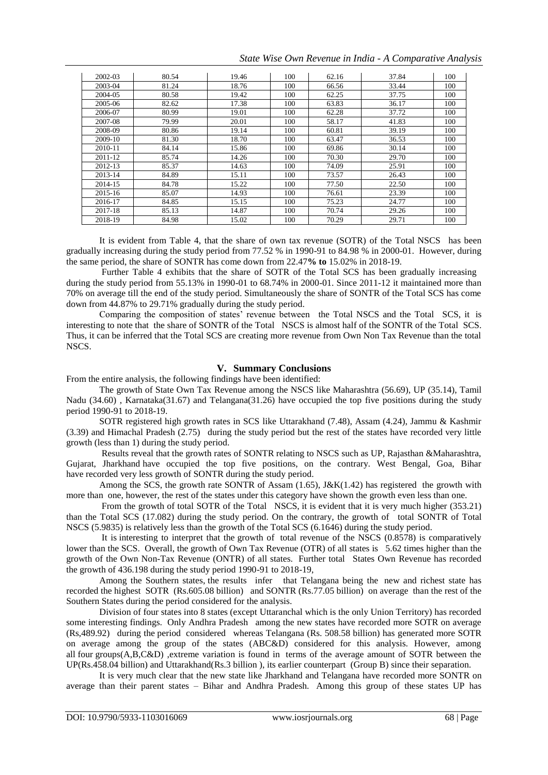*State Wise Own Revenue in India - A Comparative Analysis*

| 2002-03 | 80.54 | 19.46 | 100 | 62.16 | 37.84 | 100 |
|---------|-------|-------|-----|-------|-------|-----|
|         |       |       |     |       |       |     |
| 2003-04 | 81.24 | 18.76 | 100 | 66.56 | 33.44 | 100 |
| 2004-05 | 80.58 | 19.42 | 100 | 62.25 | 37.75 | 100 |
| 2005-06 | 82.62 | 17.38 | 100 | 63.83 | 36.17 | 100 |
| 2006-07 | 80.99 | 19.01 | 100 | 62.28 | 37.72 | 100 |
| 2007-08 | 79.99 | 20.01 | 100 | 58.17 | 41.83 | 100 |
| 2008-09 | 80.86 | 19.14 | 100 | 60.81 | 39.19 | 100 |
| 2009-10 | 81.30 | 18.70 | 100 | 63.47 | 36.53 | 100 |
| 2010-11 | 84.14 | 15.86 | 100 | 69.86 | 30.14 | 100 |
| 2011-12 | 85.74 | 14.26 | 100 | 70.30 | 29.70 | 100 |
| 2012-13 | 85.37 | 14.63 | 100 | 74.09 | 25.91 | 100 |
| 2013-14 | 84.89 | 15.11 | 100 | 73.57 | 26.43 | 100 |
| 2014-15 | 84.78 | 15.22 | 100 | 77.50 | 22.50 | 100 |
| 2015-16 | 85.07 | 14.93 | 100 | 76.61 | 23.39 | 100 |
| 2016-17 | 84.85 | 15.15 | 100 | 75.23 | 24.77 | 100 |
| 2017-18 | 85.13 | 14.87 | 100 | 70.74 | 29.26 | 100 |
| 2018-19 | 84.98 | 15.02 | 100 | 70.29 | 29.71 | 100 |

It is evident from Table 4, that the share of own tax revenue (SOTR) of the Total NSCS has been gradually increasing during the study period from 77.52 % in 1990-91 to 84.98 % in 2000-01. However, during the same period, the share of SONTR has come down from 22.47**% to** 15.02% in 2018-19.

Further Table 4 exhibits that the share of SOTR of the Total SCS has been gradually increasing during the study period from 55.13% in 1990-01 to 68.74% in 2000-01. Since 2011-12 it maintained more than 70% on average till the end of the study period. Simultaneously the share of SONTR of the Total SCS has come down from 44.87% to 29.71% gradually during the study period.

Comparing the composition of states' revenue between the Total NSCS and the Total SCS, it is interesting to note that the share of SONTR of the Total NSCS is almost half of the SONTR of the Total SCS. Thus, it can be inferred that the Total SCS are creating more revenue from Own Non Tax Revenue than the total NSCS.

# **V. Summary Conclusions**

From the entire analysis, the following findings have been identified:

The growth of State Own Tax Revenue among the NSCS like Maharashtra (56.69), UP (35.14), Tamil Nadu (34.60) , Karnataka(31.67) and Telangana(31.26) have occupied the top five positions during the study period 1990-91 to 2018-19.

SOTR registered high growth rates in SCS like Uttarakhand (7.48), Assam (4.24), Jammu & Kashmir (3.39) and Himachal Pradesh (2.75) during the study period but the rest of the states have recorded very little growth (less than 1) during the study period.

Results reveal that the growth rates of SONTR relating to NSCS such as UP, Rajasthan &Maharashtra, Gujarat, Jharkhand have occupied the top five positions, on the contrary. West Bengal, Goa, Bihar have recorded very less growth of SONTR during the study period.

Among the SCS, the growth rate SONTR of Assam (1.65), J&K(1.42) has registered the growth with more than one, however, the rest of the states under this category have shown the growth even less than one.

From the growth of total SOTR of the Total NSCS, it is evident that it is very much higher (353.21) than the Total SCS (17.082) during the study period. On the contrary, the growth of total SONTR of Total NSCS (5.9835) is relatively less than the growth of the Total SCS (6.1646) during the study period.

It is interesting to interpret that the growth of total revenue of the NSCS (0.8578) is comparatively lower than the SCS. Overall, the growth of Own Tax Revenue (OTR) of all states is 5.62 times higher than the growth of the Own Non-Tax Revenue (ONTR) of all states. Further total States Own Revenue has recorded the growth of 436.198 during the study period 1990-91 to 2018-19,

Among the Southern states, the results infer that Telangana being the new and richest state has recorded the highest SOTR (Rs.605.08 billion) and SONTR (Rs.77.05 billion) on average than the rest of the Southern States during the period considered for the analysis.

Division of four states into 8 states (except Uttaranchal which is the only Union Territory) has recorded some interesting findings. Only Andhra Pradesh among the new states have recorded more SOTR on average (Rs,489.92) during the period considered whereas Telangana (Rs. 508.58 billion) has generated more SOTR on average among the group of the states (ABC&D) considered for this analysis. However, among all four groups(A,B,C&D) ,extreme variation is found in terms of the average amount of SOTR between the UP(Rs.458.04 billion) and Uttarakhand(Rs.3 billion ), its earlier counterpart (Group B) since their separation.

It is very much clear that the new state like Jharkhand and Telangana have recorded more SONTR on average than their parent states – Bihar and Andhra Pradesh. Among this group of these states UP has